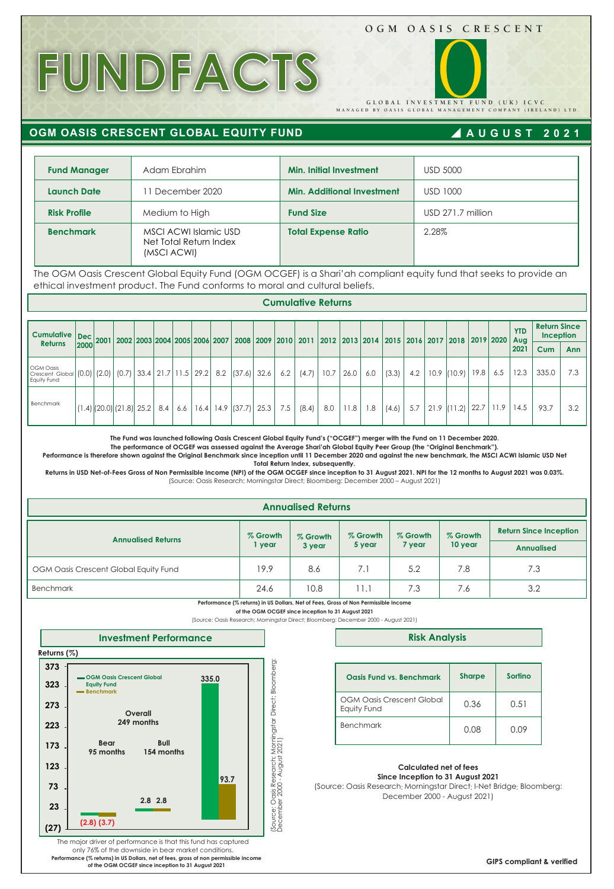# **OGM OASIS CRESCENT**

**MANAGED BY OASIS GLOBAL MANAGEMENT COMPANY (IRELAND) LTD. GLOBAL INVESTMENT FUND (UK) ICVC** 

# **FUNDFACTS**

**OGM OASIS CRESCENT GLOBAL EQUITY FUND**

# **AUGUST 2021**

| <b>Fund Manager</b> | Adam Ebrahim                                                   | <b>Min. Initial Investment</b>    | <b>USD 5000</b>     |
|---------------------|----------------------------------------------------------------|-----------------------------------|---------------------|
| <b>Launch Date</b>  | 1 December 2020                                                | <b>Min. Additional Investment</b> | USD 1000            |
| <b>Risk Profile</b> | Medium to High                                                 | <b>Fund Size</b>                  | $USD$ 271.7 million |
| <b>Benchmark</b>    | MSCI ACWI Islamic USD<br>Net Total Return Index<br>(MSCI ACWI) | <b>Total Expense Ratio</b>        | 2.28%               |

The OGM Oasis Crescent Global Equity Fund (OGM OCGEF) is a Shari'ah compliant equity fund that seeks to provide an ethical investment product. The Fund conforms to moral and cultural beliefs.

**Cumulative Returns** 

| <b>Cumulative</b>                                                                            | $\left  \frac{\text{Dec}}{2000} \right $ 2001 2002 2003 2004 2005 2006 2007 |  |     |     |  |                      |      |     |       |      |      | 2008 2009 2010 2011 2012 2013 2014 2015 2016 2017 2018 2019 2020 |       |     |      |        |      |      | <b>YTD</b> | <b>Return Since</b><br>Inception<br>Aug |            |  |  |
|----------------------------------------------------------------------------------------------|-----------------------------------------------------------------------------|--|-----|-----|--|----------------------|------|-----|-------|------|------|------------------------------------------------------------------|-------|-----|------|--------|------|------|------------|-----------------------------------------|------------|--|--|
| <b>Returns</b>                                                                               |                                                                             |  |     |     |  |                      |      |     |       |      |      |                                                                  |       |     |      |        |      |      | 2021       | Cum                                     | <b>Ann</b> |  |  |
| <b>OGM Oasis</b><br>Crescent Global (0.0) (2.0) (0.7) 33.4 21.7 11.5 29.2 8.2<br>Equity Fund |                                                                             |  |     |     |  | (37.6)               | 32.6 | 6.2 | (4.7) | 10.7 | 26.0 | 6.0                                                              | (3.3) | 4.2 | 10.9 | (10.9) | 19.8 | 6.5  | 12.3       | 335.0                                   | 7.3        |  |  |
| Benchmark                                                                                    | $(1.4)$ $(20.0)$ $(21.8)$ 25.2                                              |  | 8.4 | 6.6 |  | $16.4$   14.9 (37.7) | 25.3 | 7.5 | (8.4) | 8.0  | 11.8 | 8. I                                                             | (4.6) | 5.7 | 21.9 | (11.2) | 22.7 | 11.9 | 14.5       | 93.7                                    | 3.2        |  |  |

**The Fund was launched following Oasis Crescent Global Equity Fund's ("OCGEF") merger with the Fund on 11 December 2020.** 

**The performance of OCGEF was assessed against the Average Shari'ah Global Equity Peer Group (the "Original Benchmark").** 

**Performance is therefore shown against the Original Benchmark since inception until 11 December 2020 and against the new benchmark, the MSCI ACWI Islamic USD Net Total Return Index, subsequently.**

**Returns in USD Net-of-Fees Gross of Non Permissible Income (NPI) of the OGM OCGEF since inception to 31 August 2021. NPI for the 12 months to August 2021 was 0.03%.** (Source: Oasis Research; Morningstar Direct; Bloomberg: December 2000 – August 2021)

|                                       |                    | <b>Annualised Returns</b> |                    |                    |                     |                                                    |
|---------------------------------------|--------------------|---------------------------|--------------------|--------------------|---------------------|----------------------------------------------------|
| <b>Annualised Returns</b>             | % Growth<br>I year | % Growth<br>3 year        | % Growth<br>5 year | % Growth<br>7 year | % Growth<br>10 year | <b>Return Since Inception</b><br><b>Annualised</b> |
| OGM Oasis Crescent Global Equity Fund | 19.9               | 8.6                       | 7.1                | 5.2                | 7.8                 | 7.3                                                |
| <b>Benchmark</b>                      | 24.6               | 10.8                      | 11.1               | 7.3                | 7.6                 | 3.2                                                |



(Source: Oasis Research; Morningstar Direct; Bloomberg: December 2000 - August 2021)



## **Risk Analysis**

| Oasis Fund vs. Benchmark                        | <b>Sharpe</b> | Sortino |
|-------------------------------------------------|---------------|---------|
| <b>OGM Oasis Crescent Global</b><br>Equity Fund | 0.36          | 0.51    |
| <b>Benchmark</b>                                | 0.08          | 0.O9    |

#### **Calculated net of fees Since Inception to 31 August 2021**

(Source: Oasis Research; Morningstar Direct; I-Net Bridge; Bloomberg: December 2000 - August 2021)

The major driver of performance is that this fund has captured only 76% of the downside in bear market conditions. **Performance (% returns) in US Dollars, net of fees, gross of non permissible income of the OGM OCGEF since inception to 31 August 2021**